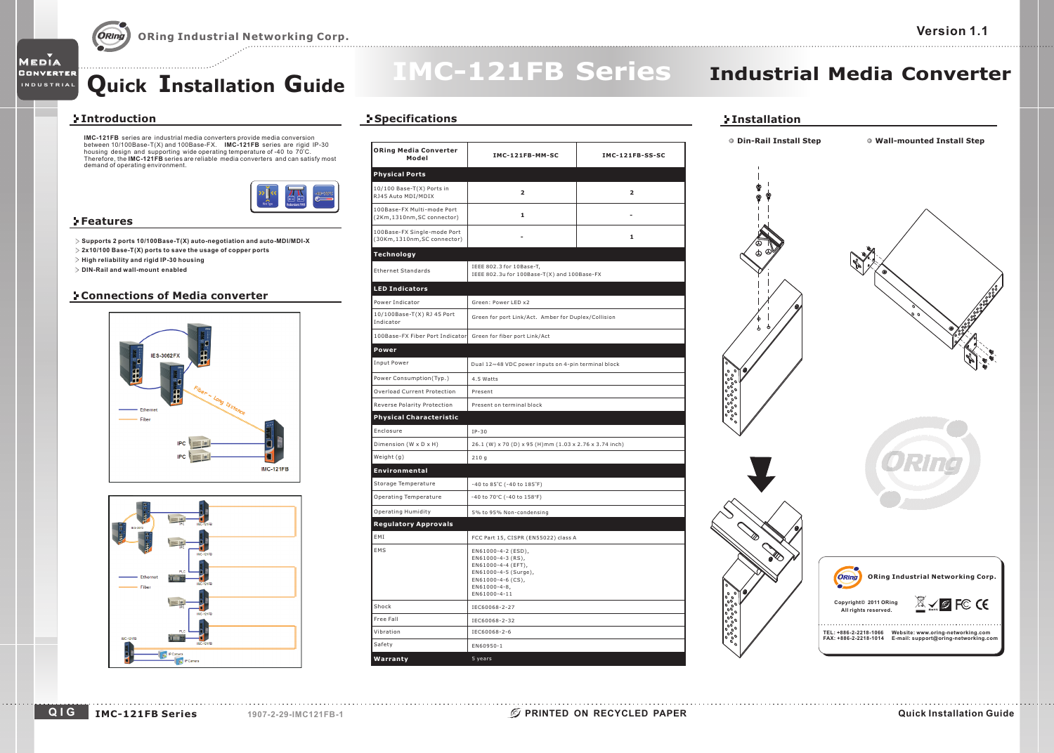### **Quick Installation Guide**

# **IMC-121FB Series**

### **Industrial Media Converter**

### **Introduction**

Media Converter

**INDUSTRIAL**

**IMC-121FB** series are industrial media converters provide<br>between 10/100Base-T(X) and 100Base-FX. **IMC-121FB IMC-121FB IMC-121FB** series are industrial media converters provide media conversion<br>between 10/100Base-T(X) and 100Base-FX. **IMC-121FB** series are rigid IP-30<br>housing design and supporting wide operating temperature of -40 to 7 demand of operating environment.



#### **Features**

- **Supports 2 ports 10/100Base-T(X) auto-negotiation and auto-MDI/MDI-X**
- **2x10/100 Base-T(X) ports to save the usage of copper ports**
- **High reliability and rigid IP-30 housing**
- **DIN-Rail and wall-mount enabled**

#### **Connections of Media converter**





### **Specifications**

| <b>ORing Media Converter</b><br>Model                      | IMC-121FB-MM-SC                                                                                                                            | IMC-121FB-SS-SC         |  |
|------------------------------------------------------------|--------------------------------------------------------------------------------------------------------------------------------------------|-------------------------|--|
| <b>Physical Ports</b>                                      |                                                                                                                                            |                         |  |
| 10/100 Base-T(X) Ports in<br>RJ45 Auto MDI/MDIX            | $\overline{\mathbf{2}}$                                                                                                                    | $\overline{\mathbf{z}}$ |  |
| 100Base-FX Multi-mode Port<br>(2Km,1310nm, SC connector)   | 1                                                                                                                                          |                         |  |
| 100Base-FX Single-mode Port<br>(30Km,1310nm, SC connector) |                                                                                                                                            | $\mathbf{1}$            |  |
| Technology                                                 |                                                                                                                                            |                         |  |
| <b>Ethernet Standards</b>                                  | IEEE 802.3 for 10Base-T,<br>IEEE 802.3u for 100Base-T(X) and 100Base-FX                                                                    |                         |  |
| <b>LED Indicators</b>                                      |                                                                                                                                            |                         |  |
| Power Indicator                                            | Green: Power LED x2                                                                                                                        |                         |  |
| 10/100Base-T(X) RJ 45 Port<br>Indicator                    | Green for port Link/Act. Amber for Duplex/Collision                                                                                        |                         |  |
| 100Base-FX Fiber Port Indicator                            | Green for fiber port Link/Act                                                                                                              |                         |  |
| Power                                                      |                                                                                                                                            |                         |  |
| Input Power                                                | Dual 12~48 VDC power inputs on 4-pin terminal block                                                                                        |                         |  |
| Power Consumption(Typ.)                                    | 4.5 Watts                                                                                                                                  |                         |  |
| Overload Current Protection                                | Present                                                                                                                                    |                         |  |
| Reverse Polarity Protection                                | Present on terminal block                                                                                                                  |                         |  |
| <b>Physical Characteristic</b>                             |                                                                                                                                            |                         |  |
| Enclosure                                                  | $IP-30$                                                                                                                                    |                         |  |
| Dimension (W x D x H)                                      | 26.1 (W) x 70 (D) x 95 (H)mm (1.03 x 2.76 x 3.74 inch)                                                                                     |                         |  |
| Weight (g)                                                 | 210q                                                                                                                                       |                         |  |
| Environmental                                              |                                                                                                                                            |                         |  |
| Storage Temperature                                        | -40 to 85°C (-40 to 185°F)                                                                                                                 |                         |  |
| Operating Temperature                                      | -40 to 70°C (-40 to 158°F)                                                                                                                 |                         |  |
| <b>Operating Humidity</b>                                  | 5% to 95% Non-condensing                                                                                                                   |                         |  |
| <b>Regulatory Approvals</b>                                |                                                                                                                                            |                         |  |
| EMI                                                        | FCC Part 15, CISPR (EN55022) class A                                                                                                       |                         |  |
| EMS                                                        | EN61000-4-2 (ESD),<br>EN61000-4-3 (RS),<br>EN61000-4-4 (EFT),<br>EN61000-4-5 (Surge),<br>EN61000-4-6 (CS),<br>EN61000-4-8,<br>EN61000-4-11 |                         |  |
| Shock                                                      | IEC60068-2-27                                                                                                                              |                         |  |
| Free Fall                                                  | IEC60068-2-32                                                                                                                              |                         |  |
| Vibration                                                  | IEC60068-2-6                                                                                                                               |                         |  |
| Safety                                                     | EN60950-1                                                                                                                                  |                         |  |
| Warranty                                                   | 5 years                                                                                                                                    |                         |  |